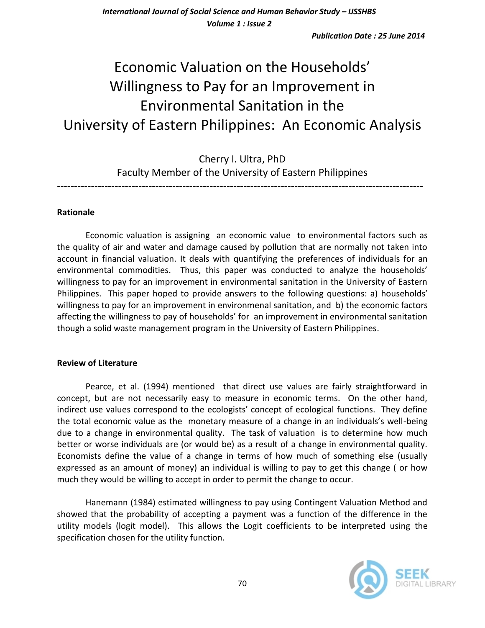*Publication Date : 25 June 2014*

# Economic Valuation on the Households' Willingness to Pay for an Improvement in Environmental Sanitation in the University of Eastern Philippines: An Economic Analysis

Cherry I. Ultra, PhD Faculty Member of the University of Eastern Philippines

------------------------------------------------------------------------------------------------------------

### **Rationale**

Economic valuation is assigning an economic value to environmental factors such as the quality of air and water and damage caused by pollution that are normally not taken into account in financial valuation. It deals with quantifying the preferences of individuals for an environmental commodities. Thus, this paper was conducted to analyze the households' willingness to pay for an improvement in environmental sanitation in the University of Eastern Philippines. This paper hoped to provide answers to the following questions: a) households' willingness to pay for an improvement in environmenal sanitation, and b) the economic factors affecting the willingness to pay of households' for an improvement in environmental sanitation though a solid waste management program in the University of Eastern Philippines.

#### **Review of Literature**

Pearce, et al. (1994) mentioned that direct use values are fairly straightforward in concept, but are not necessarily easy to measure in economic terms. On the other hand, indirect use values correspond to the ecologists' concept of ecological functions. They define the total economic value as the monetary measure of a change in an individuals's well-being due to a change in environmental quality. The task of valuation is to determine how much better or worse individuals are (or would be) as a result of a change in environmental quality. Economists define the value of a change in terms of how much of something else (usually expressed as an amount of money) an individual is willing to pay to get this change ( or how much they would be willing to accept in order to permit the change to occur.

Hanemann (1984) estimated willingness to pay using Contingent Valuation Method and showed that the probability of accepting a payment was a function of the difference in the utility models (logit model). This allows the Logit coefficients to be interpreted using the specification chosen for the utility function.

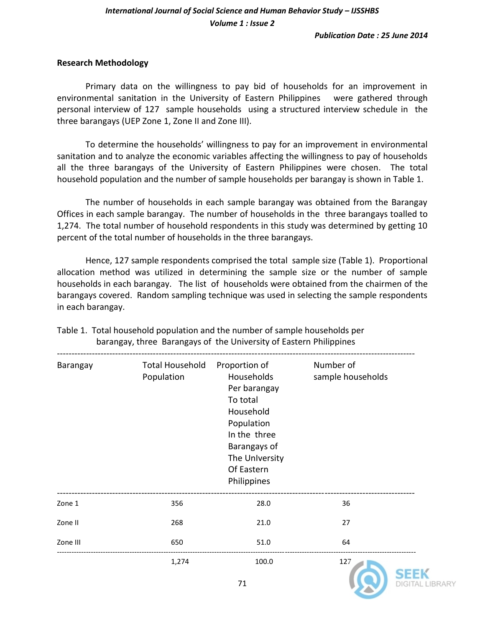## *International Journal of Social Science and Human Behavior Study – IJSSHBS Volume 1 : Issue 2*

#### **Research Methodology**

Primary data on the willingness to pay bid of households for an improvement in environmental sanitation in the University of Eastern Philippines were gathered through personal interview of 127 sample households using a structured interview schedule in the three barangays (UEP Zone 1, Zone II and Zone III).

To determine the households' willingness to pay for an improvement in environmental sanitation and to analyze the economic variables affecting the willingness to pay of households all the three barangays of the University of Eastern Philippines were chosen. The total household population and the number of sample households per barangay is shown in Table 1.

The number of households in each sample barangay was obtained from the Barangay Offices in each sample barangay. The number of households in the three barangays toalled to 1,274. The total number of household respondents in this study was determined by getting 10 percent of the total number of households in the three barangays.

Hence, 127 sample respondents comprised the total sample size (Table 1). Proportional allocation method was utilized in determining the sample size or the number of sample households in each barangay. The list of households were obtained from the chairmen of the barangays covered. Random sampling technique was used in selecting the sample respondents in each barangay.

| Barangay | <b>Total Household</b><br>Population | Proportion of<br>Households<br>Per barangay<br>To total<br>Household<br>Population<br>In the three<br>Barangays of<br>The University<br>Of Eastern<br>Philippines | Number of<br>sample households |  |
|----------|--------------------------------------|-------------------------------------------------------------------------------------------------------------------------------------------------------------------|--------------------------------|--|
| Zone 1   | 356                                  | 28.0                                                                                                                                                              | 36                             |  |
| Zone II  | 268                                  | 21.0                                                                                                                                                              | 27                             |  |
| Zone III | 650                                  | 51.0                                                                                                                                                              | 64                             |  |
|          | 1,274                                | 100.0<br>71                                                                                                                                                       | 127                            |  |

Table 1. Total household population and the number of sample households per barangay, three Barangays of the University of Eastern Philippines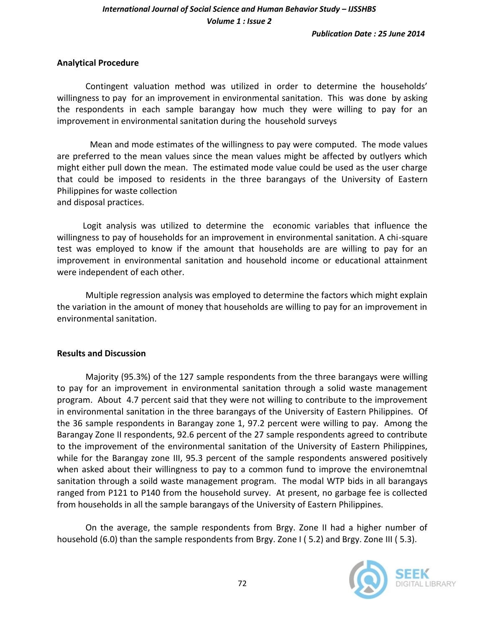## *International Journal of Social Science and Human Behavior Study – IJSSHBS Volume 1 : Issue 2*

#### **Analytical Procedure**

Contingent valuation method was utilized in order to determine the households' willingness to pay for an improvement in environmental sanitation. This was done by asking the respondents in each sample barangay how much they were willing to pay for an improvement in environmental sanitation during the household surveys

 Mean and mode estimates of the willingness to pay were computed. The mode values are preferred to the mean values since the mean values might be affected by outlyers which might either pull down the mean. The estimated mode value could be used as the user charge that could be imposed to residents in the three barangays of the University of Eastern Philippines for waste collection and disposal practices.

 Logit analysis was utilized to determine the economic variables that influence the willingness to pay of households for an improvement in environmental sanitation. A chi-square test was employed to know if the amount that households are are willing to pay for an improvement in environmental sanitation and household income or educational attainment were independent of each other.

Multiple regression analysis was employed to determine the factors which might explain the variation in the amount of money that households are willing to pay for an improvement in environmental sanitation.

#### **Results and Discussion**

Majority (95.3%) of the 127 sample respondents from the three barangays were willing to pay for an improvement in environmental sanitation through a solid waste management program. About 4.7 percent said that they were not willing to contribute to the improvement in environmental sanitation in the three barangays of the University of Eastern Philippines. Of the 36 sample respondents in Barangay zone 1, 97.2 percent were willing to pay. Among the Barangay Zone II respondents, 92.6 percent of the 27 sample respondents agreed to contribute to the improvement of the environmental sanitation of the University of Eastern Philippines, while for the Barangay zone III, 95.3 percent of the sample respondents answered positively when asked about their willingness to pay to a common fund to improve the environemtnal sanitation through a soild waste management program. The modal WTP bids in all barangays ranged from P121 to P140 from the household survey. At present, no garbage fee is collected from households in all the sample barangays of the University of Eastern Philippines.

On the average, the sample respondents from Brgy. Zone II had a higher number of household (6.0) than the sample respondents from Brgy. Zone I (5.2) and Brgy. Zone III (5.3).

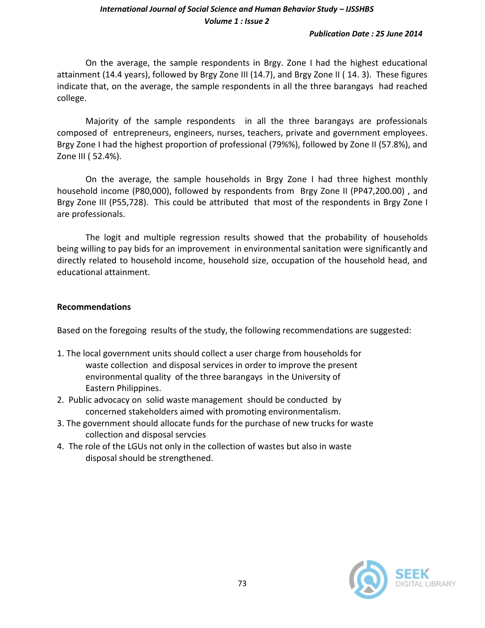## *International Journal of Social Science and Human Behavior Study – IJSSHBS Volume 1 : Issue 2*

On the average, the sample respondents in Brgy. Zone I had the highest educational attainment (14.4 years), followed by Brgy Zone III (14.7), and Brgy Zone II ( 14. 3). These figures indicate that, on the average, the sample respondents in all the three barangays had reached college.

Majority of the sample respondents in all the three barangays are professionals composed of entrepreneurs, engineers, nurses, teachers, private and government employees. Brgy Zone I had the highest proportion of professional (79%%), followed by Zone II (57.8%), and Zone III ( 52.4%).

On the average, the sample households in Brgy Zone I had three highest monthly household income (P80,000), followed by respondents from Brgy Zone II (PP47,200.00) , and Brgy Zone III (P55,728). This could be attributed that most of the respondents in Brgy Zone I are professionals.

The logit and multiple regression results showed that the probability of households being willing to pay bids for an improvement in environmental sanitation were significantly and directly related to household income, household size, occupation of the household head, and educational attainment.

### **Recommendations**

Based on the foregoing results of the study, the following recommendations are suggested:

- 1. The local government units should collect a user charge from households for waste collection and disposal services in order to improve the present environmental quality of the three barangays in the University of Eastern Philippines.
- 2. Public advocacy on solid waste management should be conducted by concerned stakeholders aimed with promoting environmentalism.
- 3. The government should allocate funds for the purchase of new trucks for waste collection and disposal servcies
- 4. The role of the LGUs not only in the collection of wastes but also in waste disposal should be strengthened.